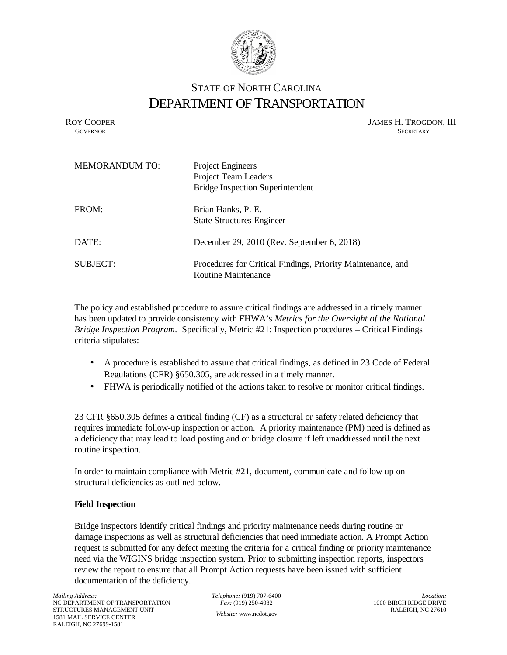

# STATE OF NORTH CAROLINA DEPARTMENT OF TRANSPORTATION

ROY COOPER JAMES H. TROGDON, III<br>GOVERNOR SECRETARY SECRETARY **GOVERNOR** SECRETARY

| <b>MEMORANDUM TO:</b> | <b>Project Engineers</b><br><b>Project Team Leaders</b><br><b>Bridge Inspection Superintendent</b> |
|-----------------------|----------------------------------------------------------------------------------------------------|
| FROM:                 | Brian Hanks, P. E.<br><b>State Structures Engineer</b>                                             |
| DATE:                 | December 29, 2010 (Rev. September 6, 2018)                                                         |
| SUBJECT:              | Procedures for Critical Findings, Priority Maintenance, and<br>Routine Maintenance                 |

The policy and established procedure to assure critical findings are addressed in a timely manner has been updated to provide consistency with FHWA's *Metrics for the Oversight of the National Bridge Inspection Program*. Specifically, Metric #21: Inspection procedures – Critical Findings criteria stipulates:

- A procedure is established to assure that critical findings, as defined in 23 Code of Federal Regulations (CFR) §650.305, are addressed in a timely manner.
- FHWA is periodically notified of the actions taken to resolve or monitor critical findings.

23 CFR §650.305 defines a critical finding (CF) as a structural or safety related deficiency that requires immediate follow-up inspection or action. A priority maintenance (PM) need is defined as a deficiency that may lead to load posting and or bridge closure if left unaddressed until the next routine inspection.

In order to maintain compliance with Metric #21, document, communicate and follow up on structural deficiencies as outlined below.

# **Field Inspection**

Bridge inspectors identify critical findings and priority maintenance needs during routine or damage inspections as well as structural deficiencies that need immediate action. A Prompt Action request is submitted for any defect meeting the criteria for a critical finding or priority maintenance need via the WIGINS bridge inspection system. Prior to submitting inspection reports, inspectors review the report to ensure that all Prompt Action requests have been issued with sufficient documentation of the deficiency.

*Telephone:* (919) 707-6400 *Fax:* (919) 250-4082 *Website:* www.ncdot.gov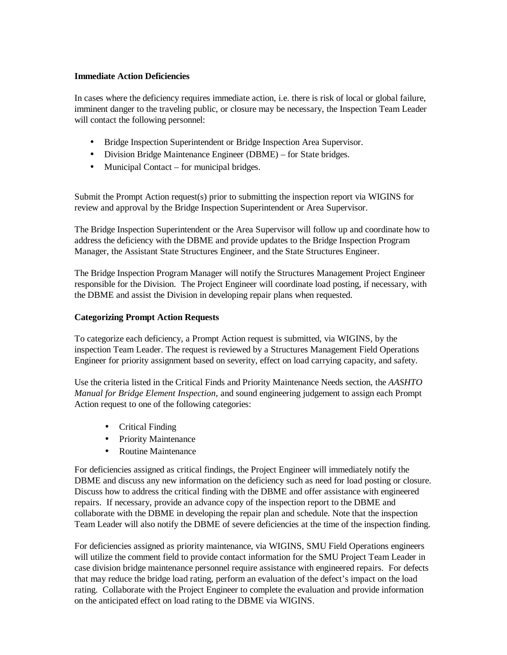#### **Immediate Action Deficiencies**

In cases where the deficiency requires immediate action, i.e. there is risk of local or global failure, imminent danger to the traveling public, or closure may be necessary, the Inspection Team Leader will contact the following personnel:

- Bridge Inspection Superintendent or Bridge Inspection Area Supervisor.
- Division Bridge Maintenance Engineer (DBME) for State bridges.
- Municipal Contact for municipal bridges.

Submit the Prompt Action request(s) prior to submitting the inspection report via WIGINS for review and approval by the Bridge Inspection Superintendent or Area Supervisor.

The Bridge Inspection Superintendent or the Area Supervisor will follow up and coordinate how to address the deficiency with the DBME and provide updates to the Bridge Inspection Program Manager, the Assistant State Structures Engineer, and the State Structures Engineer.

The Bridge Inspection Program Manager will notify the Structures Management Project Engineer responsible for the Division. The Project Engineer will coordinate load posting, if necessary, with the DBME and assist the Division in developing repair plans when requested.

#### **Categorizing Prompt Action Requests**

To categorize each deficiency, a Prompt Action request is submitted, via WIGINS, by the inspection Team Leader. The request is reviewed by a Structures Management Field Operations Engineer for priority assignment based on severity, effect on load carrying capacity, and safety.

Use the criteria listed in the Critical Finds and Priority Maintenance Needs section, the *AASHTO Manual for Bridge Element Inspection*, and sound engineering judgement to assign each Prompt Action request to one of the following categories:

- Critical Finding
- Priority Maintenance
- Routine Maintenance

For deficiencies assigned as critical findings, the Project Engineer will immediately notify the DBME and discuss any new information on the deficiency such as need for load posting or closure. Discuss how to address the critical finding with the DBME and offer assistance with engineered repairs. If necessary, provide an advance copy of the inspection report to the DBME and collaborate with the DBME in developing the repair plan and schedule. Note that the inspection Team Leader will also notify the DBME of severe deficiencies at the time of the inspection finding.

For deficiencies assigned as priority maintenance, via WIGINS, SMU Field Operations engineers will utilize the comment field to provide contact information for the SMU Project Team Leader in case division bridge maintenance personnel require assistance with engineered repairs. For defects that may reduce the bridge load rating, perform an evaluation of the defect's impact on the load rating. Collaborate with the Project Engineer to complete the evaluation and provide information on the anticipated effect on load rating to the DBME via WIGINS.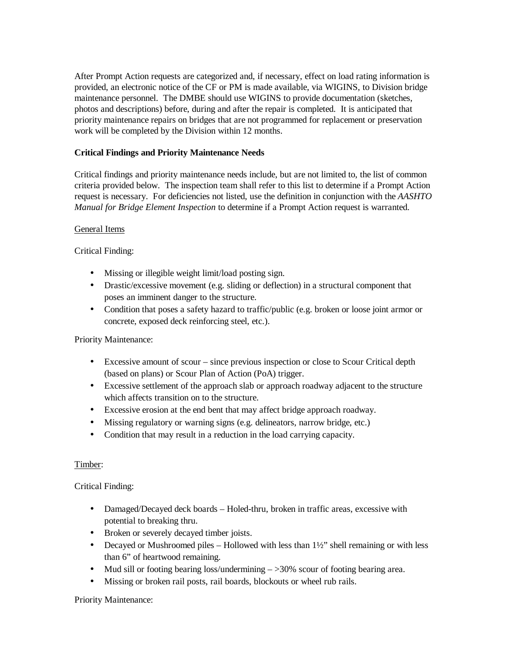After Prompt Action requests are categorized and, if necessary, effect on load rating information is provided, an electronic notice of the CF or PM is made available, via WIGINS, to Division bridge maintenance personnel. The DMBE should use WIGINS to provide documentation (sketches, photos and descriptions) before, during and after the repair is completed. It is anticipated that priority maintenance repairs on bridges that are not programmed for replacement or preservation work will be completed by the Division within 12 months.

# **Critical Findings and Priority Maintenance Needs**

Critical findings and priority maintenance needs include, but are not limited to, the list of common criteria provided below. The inspection team shall refer to this list to determine if a Prompt Action request is necessary. For deficiencies not listed, use the definition in conjunction with the *AASHTO Manual for Bridge Element Inspection* to determine if a Prompt Action request is warranted.

#### General Items

Critical Finding:

- Missing or illegible weight limit/load posting sign.
- Drastic/excessive movement (e.g. sliding or deflection) in a structural component that poses an imminent danger to the structure.
- Condition that poses a safety hazard to traffic/public (e.g. broken or loose joint armor or concrete, exposed deck reinforcing steel, etc.).

Priority Maintenance:

- Excessive amount of scour since previous inspection or close to Scour Critical depth (based on plans) or Scour Plan of Action (PoA) trigger.
- Excessive settlement of the approach slab or approach roadway adjacent to the structure which affects transition on to the structure.
- Excessive erosion at the end bent that may affect bridge approach roadway.
- Missing regulatory or warning signs (e.g. delineators, narrow bridge, etc.)
- Condition that may result in a reduction in the load carrying capacity.

#### Timber:

Critical Finding:

- Damaged/Decayed deck boards Holed-thru, broken in traffic areas, excessive with potential to breaking thru.
- Broken or severely decayed timber joists.
- Decayed or Mushroomed piles Hollowed with less than 1½" shell remaining or with less than 6" of heartwood remaining.
- Mud sill or footing bearing loss/undermining  $-$  >30% scour of footing bearing area.
- Missing or broken rail posts, rail boards, blockouts or wheel rub rails.

#### Priority Maintenance: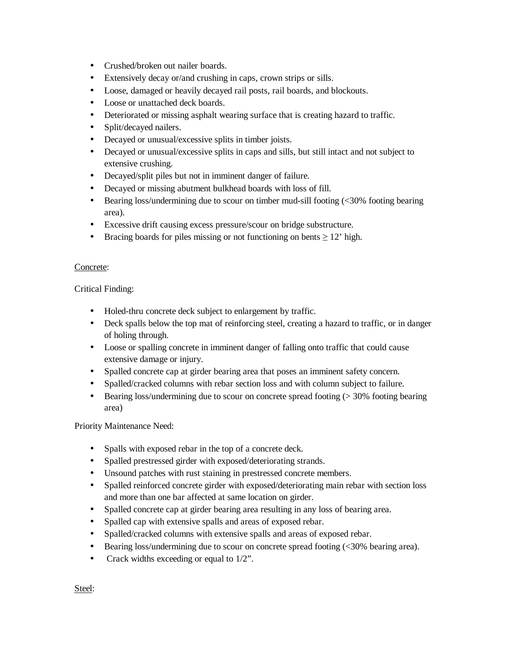- Crushed/broken out nailer boards.
- Extensively decay or/and crushing in caps, crown strips or sills.
- Loose, damaged or heavily decayed rail posts, rail boards, and blockouts.
- Loose or unattached deck boards.
- Deteriorated or missing asphalt wearing surface that is creating hazard to traffic.
- Split/decayed nailers.
- Decayed or unusual/excessive splits in timber joists.
- Decayed or unusual/excessive splits in caps and sills, but still intact and not subject to extensive crushing.
- Decayed/split piles but not in imminent danger of failure.
- Decayed or missing abutment bulkhead boards with loss of fill.
- Bearing loss/undermining due to scour on timber mud-sill footing (<30% footing bearing area).
- Excessive drift causing excess pressure/scour on bridge substructure.
- Bracing boards for piles missing or not functioning on bents  $\geq 12$ ' high.

#### Concrete:

Critical Finding:

- Holed-thru concrete deck subject to enlargement by traffic.
- Deck spalls below the top mat of reinforcing steel, creating a hazard to traffic, or in danger of holing through.
- Loose or spalling concrete in imminent danger of falling onto traffic that could cause extensive damage or injury.
- Spalled concrete cap at girder bearing area that poses an imminent safety concern.
- Spalled/cracked columns with rebar section loss and with column subject to failure.
- Bearing loss/undermining due to scour on concrete spread footing (> 30% footing bearing area)

Priority Maintenance Need:

- Spalls with exposed rebar in the top of a concrete deck.
- Spalled prestressed girder with exposed/deteriorating strands.
- Unsound patches with rust staining in prestressed concrete members.
- Spalled reinforced concrete girder with exposed/deteriorating main rebar with section loss and more than one bar affected at same location on girder.
- Spalled concrete cap at girder bearing area resulting in any loss of bearing area.
- Spalled cap with extensive spalls and areas of exposed rebar.
- Spalled/cracked columns with extensive spalls and areas of exposed rebar.
- Bearing loss/undermining due to scour on concrete spread footing  $\langle$  <30% bearing area).
- Crack widths exceeding or equal to 1/2".

Steel: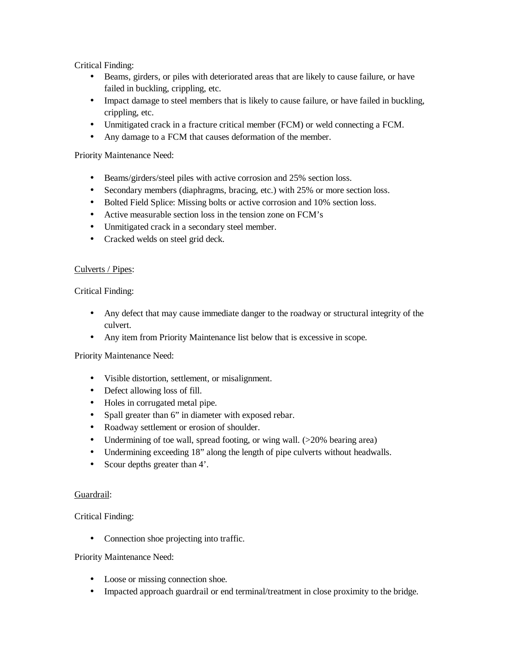Critical Finding:

- Beams, girders, or piles with deteriorated areas that are likely to cause failure, or have failed in buckling, crippling, etc.
- Impact damage to steel members that is likely to cause failure, or have failed in buckling, crippling, etc.
- Unmitigated crack in a fracture critical member (FCM) or weld connecting a FCM.
- Any damage to a FCM that causes deformation of the member.

# Priority Maintenance Need:

- Beams/girders/steel piles with active corrosion and 25% section loss.
- Secondary members (diaphragms, bracing, etc.) with 25% or more section loss.
- Bolted Field Splice: Missing bolts or active corrosion and 10% section loss.
- Active measurable section loss in the tension zone on FCM's
- Unmitigated crack in a secondary steel member.
- Cracked welds on steel grid deck.

# Culverts / Pipes:

Critical Finding:

- Any defect that may cause immediate danger to the roadway or structural integrity of the culvert.
- Any item from Priority Maintenance list below that is excessive in scope.

# Priority Maintenance Need:

- Visible distortion, settlement, or misalignment.
- Defect allowing loss of fill.
- Holes in corrugated metal pipe.
- Spall greater than 6" in diameter with exposed rebar.
- Roadway settlement or erosion of shoulder.
- Undermining of toe wall, spread footing, or wing wall. (>20% bearing area)
- Undermining exceeding 18" along the length of pipe culverts without headwalls.
- Scour depths greater than 4'.

# Guardrail:

Critical Finding:

• Connection shoe projecting into traffic.

# Priority Maintenance Need:

- Loose or missing connection shoe.
- Impacted approach guardrail or end terminal/treatment in close proximity to the bridge.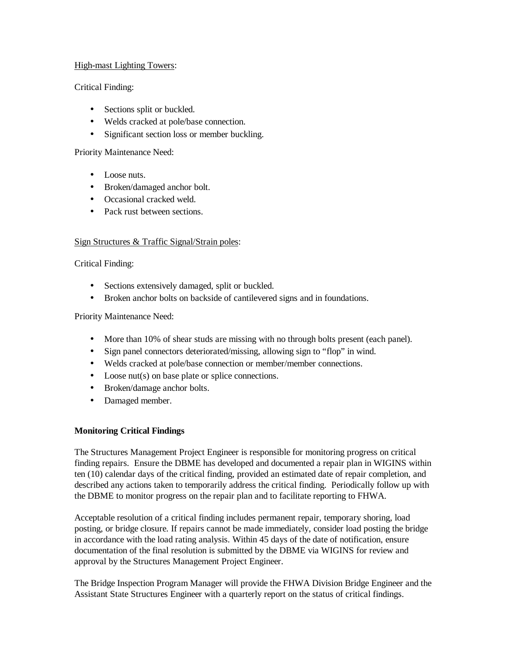#### High-mast Lighting Towers:

# Critical Finding:

- Sections split or buckled.
- Welds cracked at pole/base connection.
- Significant section loss or member buckling.

#### Priority Maintenance Need:

- Loose nuts.
- Broken/damaged anchor bolt.
- Occasional cracked weld.
- Pack rust between sections.

#### Sign Structures & Traffic Signal/Strain poles:

# Critical Finding:

- Sections extensively damaged, split or buckled.
- Broken anchor bolts on backside of cantilevered signs and in foundations.

# Priority Maintenance Need:

- More than 10% of shear studs are missing with no through bolts present (each panel).
- Sign panel connectors deteriorated/missing, allowing sign to "flop" in wind.
- Welds cracked at pole/base connection or member/member connections.
- Loose nut(s) on base plate or splice connections.
- Broken/damage anchor bolts.
- Damaged member.

# **Monitoring Critical Findings**

The Structures Management Project Engineer is responsible for monitoring progress on critical finding repairs. Ensure the DBME has developed and documented a repair plan in WIGINS within ten (10) calendar days of the critical finding, provided an estimated date of repair completion, and described any actions taken to temporarily address the critical finding. Periodically follow up with the DBME to monitor progress on the repair plan and to facilitate reporting to FHWA.

Acceptable resolution of a critical finding includes permanent repair, temporary shoring, load posting, or bridge closure. If repairs cannot be made immediately, consider load posting the bridge in accordance with the load rating analysis. Within 45 days of the date of notification, ensure documentation of the final resolution is submitted by the DBME via WIGINS for review and approval by the Structures Management Project Engineer.

The Bridge Inspection Program Manager will provide the FHWA Division Bridge Engineer and the Assistant State Structures Engineer with a quarterly report on the status of critical findings.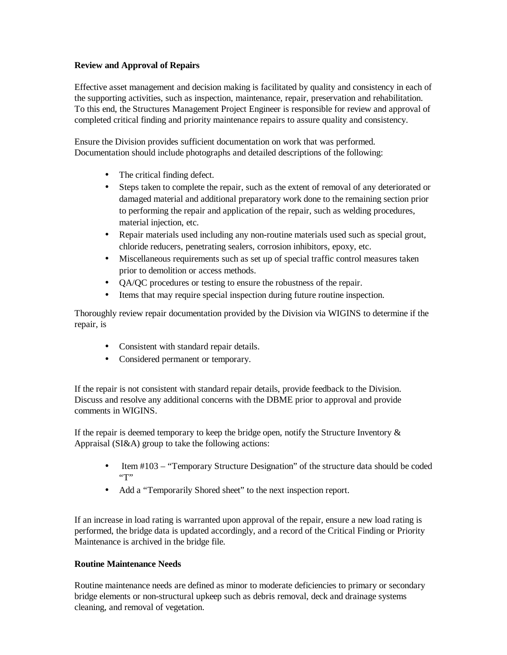#### **Review and Approval of Repairs**

Effective asset management and decision making is facilitated by quality and consistency in each of the supporting activities, such as inspection, maintenance, repair, preservation and rehabilitation. To this end, the Structures Management Project Engineer is responsible for review and approval of completed critical finding and priority maintenance repairs to assure quality and consistency.

Ensure the Division provides sufficient documentation on work that was performed. Documentation should include photographs and detailed descriptions of the following:

- The critical finding defect.
- Steps taken to complete the repair, such as the extent of removal of any deteriorated or damaged material and additional preparatory work done to the remaining section prior to performing the repair and application of the repair, such as welding procedures, material injection, etc.
- Repair materials used including any non-routine materials used such as special grout, chloride reducers, penetrating sealers, corrosion inhibitors, epoxy, etc.
- Miscellaneous requirements such as set up of special traffic control measures taken prior to demolition or access methods.
- QA/QC procedures or testing to ensure the robustness of the repair.
- Items that may require special inspection during future routine inspection.

Thoroughly review repair documentation provided by the Division via WIGINS to determine if the repair, is

- Consistent with standard repair details.
- Considered permanent or temporary.

If the repair is not consistent with standard repair details, provide feedback to the Division. Discuss and resolve any additional concerns with the DBME prior to approval and provide comments in WIGINS.

If the repair is deemed temporary to keep the bridge open, notify the Structure Inventory  $\&$ Appraisal (SI&A) group to take the following actions:

- Item #103 "Temporary Structure Designation" of the structure data should be coded  $'$ "T"
- Add a "Temporarily Shored sheet" to the next inspection report.

If an increase in load rating is warranted upon approval of the repair, ensure a new load rating is performed, the bridge data is updated accordingly, and a record of the Critical Finding or Priority Maintenance is archived in the bridge file.

# **Routine Maintenance Needs**

Routine maintenance needs are defined as minor to moderate deficiencies to primary or secondary bridge elements or non-structural upkeep such as debris removal, deck and drainage systems cleaning, and removal of vegetation.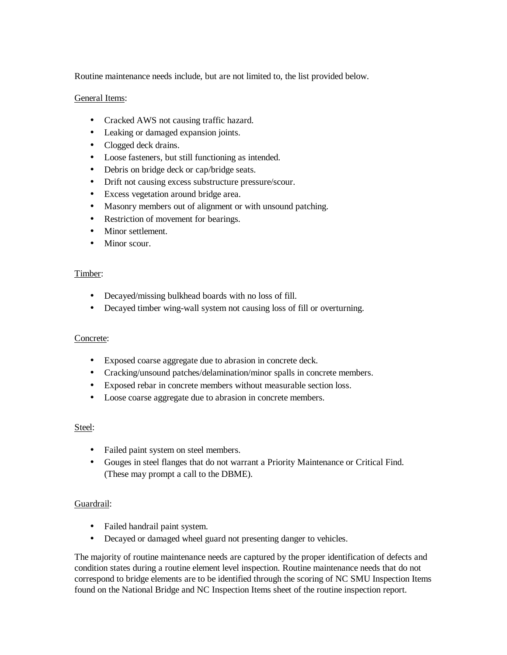Routine maintenance needs include, but are not limited to, the list provided below.

#### General Items:

- Cracked AWS not causing traffic hazard.
- Leaking or damaged expansion joints.
- Clogged deck drains.
- Loose fasteners, but still functioning as intended.
- Debris on bridge deck or cap/bridge seats.
- Drift not causing excess substructure pressure/scour.
- Excess vegetation around bridge area.
- Masonry members out of alignment or with unsound patching.
- Restriction of movement for bearings.
- Minor settlement.
- Minor scour

#### Timber:

- Decayed/missing bulkhead boards with no loss of fill.
- Decayed timber wing-wall system not causing loss of fill or overturning.

# Concrete:

- Exposed coarse aggregate due to abrasion in concrete deck.
- Cracking/unsound patches/delamination/minor spalls in concrete members.
- Exposed rebar in concrete members without measurable section loss.
- Loose coarse aggregate due to abrasion in concrete members.

# Steel:

- Failed paint system on steel members.
- Gouges in steel flanges that do not warrant a Priority Maintenance or Critical Find. (These may prompt a call to the DBME).

# Guardrail:

- Failed handrail paint system.
- Decayed or damaged wheel guard not presenting danger to vehicles.

The majority of routine maintenance needs are captured by the proper identification of defects and condition states during a routine element level inspection. Routine maintenance needs that do not correspond to bridge elements are to be identified through the scoring of NC SMU Inspection Items found on the National Bridge and NC Inspection Items sheet of the routine inspection report.